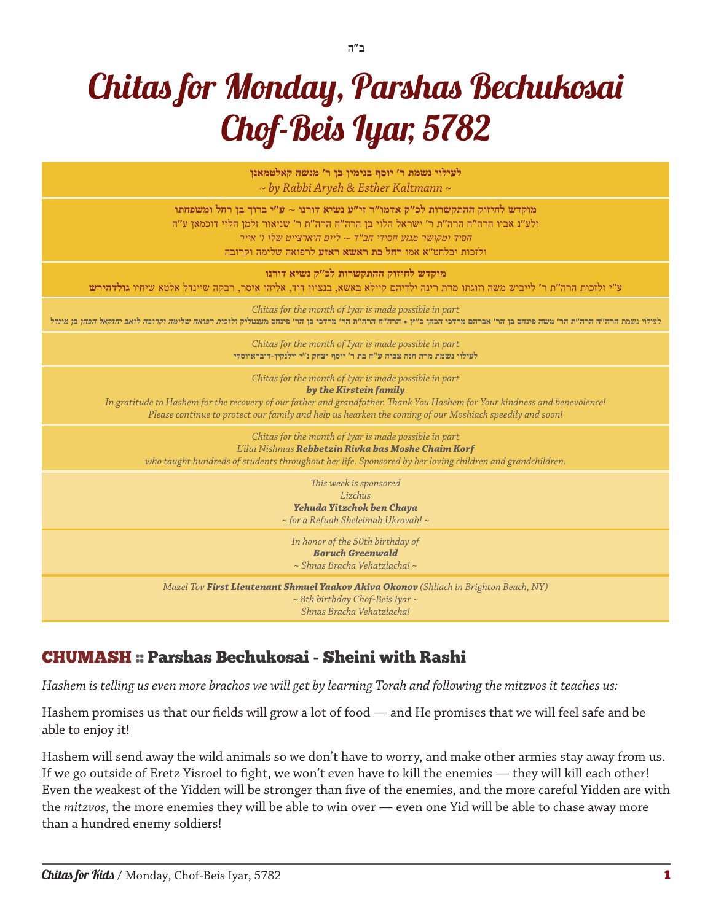# Chitas for Monday, Parshas Bechukosai Chof-Beis Iyar, 5782

ב"ה

**לעילוי נשמת ר׳ יוסף בנימין בן ר׳ מנשה קאלטמאנן** *~ by Rabbi Aryeh & Esther Kaltmann ~* **מוקדש לחיזוק ההתקשרות לכ״ק אדמו״ר זי״ע נשיא דורנו** ~ **ע״י ברוך בן רחל ומשפחתו** ולע״נ אביו הרה״ח הרה״ת ר׳ ישראל הלוי בן הרה״ח הרה״ת ר׳ שניאור זלמן הלוי דוכמאן ע״ה חסיד ומקושר מגזע חסידי חב״ד *~* ליום היארצייט שלו ו׳ אייר ולזכות יבלחט״א אמו **רחל בת ראשא ראזע** לרפואה שלימה וקרובה **מוקדש לחיזוק ההתקשרות לכ״ק נשיא דורנו** ע״י ולזכות הרה״ת ר׳ לייביש משה וזוגתו מרת רינה ילדיהם קיילא באשא, בנציון דוד, אליהו איסר, רבקה שיינדל אלטא שיחיו **גולדהירש** *Chitas for the month of Iyar is made possible in part* לעילוי נשמת **הרה״ח הרה״ת הר׳ משה פינחס בן הר׳ אברהם מרדכי הכהן כ״ץ** • **הרה״ח הרה״ת הר׳ מרדכי בן הר׳ פינחס מענטליק ולזכות רפואה שלימה וקרובה לזאב יחזקאל הכהן בן מינדל** *Chitas for the month of Iyar is made possible in part* **לעילוי נשמת מרת חנה צביה ע״ה בת ר׳ יוסף יצחק נ״י וילנקין-דובראווסקי** *Chitas for the month of Iyar is made possible in part by the Kirstein family In gratitude to Hashem for the recovery of our father and grandfather. Thank You Hashem for Your kindness and benevolence! Please continue to protect our family and help us hearken the coming of our Moshiach speedily and soon! Chitas for the month of Iyar is made possible in part L'ilui Nishmas Rebbetzin Rivka bas Moshe Chaim Korf who taught hundreds of students throughout her life. Sponsored by her loving children and grandchildren. This week is sponsored Lizchus Yehuda Yitzchok ben Chaya ~ for a Refuah Sheleimah Ukrovah! ~ In honor of the 50th birthday of Boruch Greenwald ~ Shnas Bracha Vehatzlacha! ~ Mazel Tov First Lieutenant Shmuel Yaakov Akiva Okonov (Shliach in Brighton Beach, NY) ~ 8th birthday Chof-Beis Iyar ~ Shnas Bracha Vehatzlacha!*

## [CHUMASH](http://chabad.org/dailystudy) :: Parshas Bechukosai - Sheini with Rashi

*Hashem is telling us even more brachos we will get by learning Torah and following the mitzvos it teaches us:*

Hashem promises us that our fields will grow a lot of food — and He promises that we will feel safe and be able to enjoy it!

Hashem will send away the wild animals so we don't have to worry, and make other armies stay away from us. If we go outside of Eretz Yisroel to fight, we won't even have to kill the enemies — they will kill each other! Even the weakest of the Yidden will be stronger than five of the enemies, and the more careful Yidden are with the *mitzvos*, the more enemies they will be able to win over — even one Yid will be able to chase away more than a hundred enemy soldiers!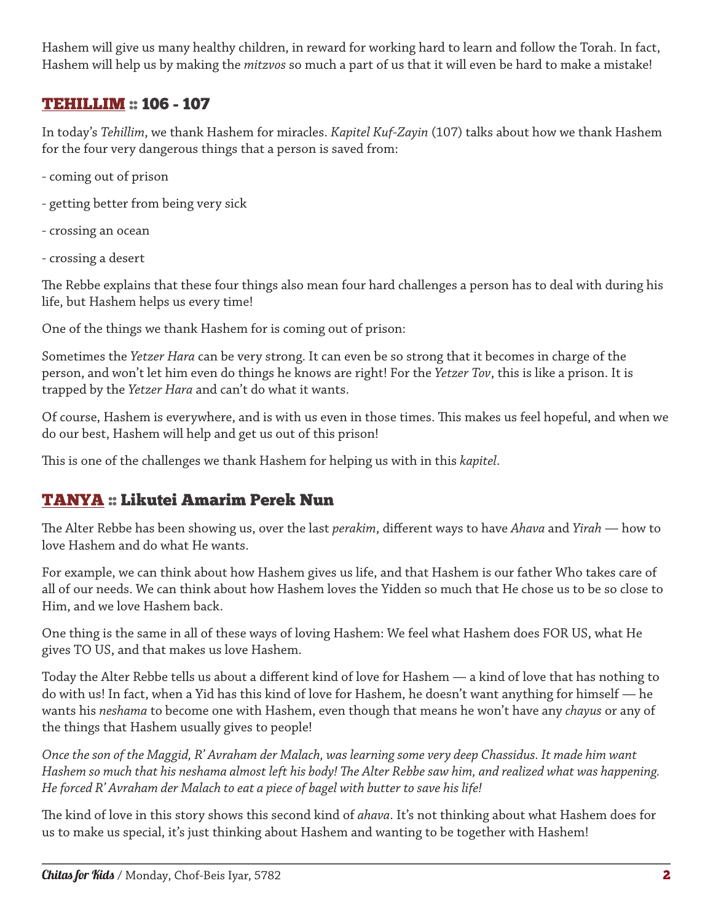Hashem will give us many healthy children, in reward for working hard to learn and follow the Torah. In fact, Hashem will help us by making the *mitzvos* so much a part of us that it will even be hard to make a mistake!

## [TEHILLIM](http://chabad.org/dailystudy) :: 106 - 107

In today's *Tehillim*, we thank Hashem for miracles. *Kapitel Kuf*-*Zayin* (107) talks about how we thank Hashem for the four very dangerous things that a person is saved from:

- coming out of prison
- getting better from being very sick
- crossing an ocean
- crossing a desert

The Rebbe explains that these four things also mean four hard challenges a person has to deal with during his life, but Hashem helps us every time!

One of the things we thank Hashem for is coming out of prison:

Sometimes the *Yetzer Hara* can be very strong. It can even be so strong that it becomes in charge of the person, and won't let him even do things he knows are right! For the *Yetzer Tov*, this is like a prison. It is trapped by the *Yetzer Hara* and can't do what it wants.

Of course, Hashem is everywhere, and is with us even in those times. This makes us feel hopeful, and when we do our best, Hashem will help and get us out of this prison!

This is one of the challenges we thank Hashem for helping us with in this *kapitel*.

# [TANYA](http://chabad.org/dailystudy) :: Likutei Amarim Perek Nun

The Alter Rebbe has been showing us, over the last *perakim*, different ways to have *Ahava* and *Yirah* — how to love Hashem and do what He wants.

For example, we can think about how Hashem gives us life, and that Hashem is our father Who takes care of all of our needs. We can think about how Hashem loves the Yidden so much that He chose us to be so close to Him, and we love Hashem back.

One thing is the same in all of these ways of loving Hashem: We feel what Hashem does FOR US, what He gives TO US, and that makes us love Hashem.

Today the Alter Rebbe tells us about a different kind of love for Hashem — a kind of love that has nothing to do with us! In fact, when a Yid has this kind of love for Hashem, he doesn't want anything for himself — he wants his *neshama* to become one with Hashem, even though that means he won't have any *chayus* or any of the things that Hashem usually gives to people!

*Once the son of the Maggid, R' Avraham der Malach, was learning some very deep Chassidus. It made him want Hashem so much that his neshama almost left his body! The Alter Rebbe saw him, and realized what was happening. He forced R' Avraham der Malach to eat a piece of bagel with butter to save his life!*

The kind of love in this story shows this second kind of *ahava*. It's not thinking about what Hashem does for us to make us special, it's just thinking about Hashem and wanting to be together with Hashem!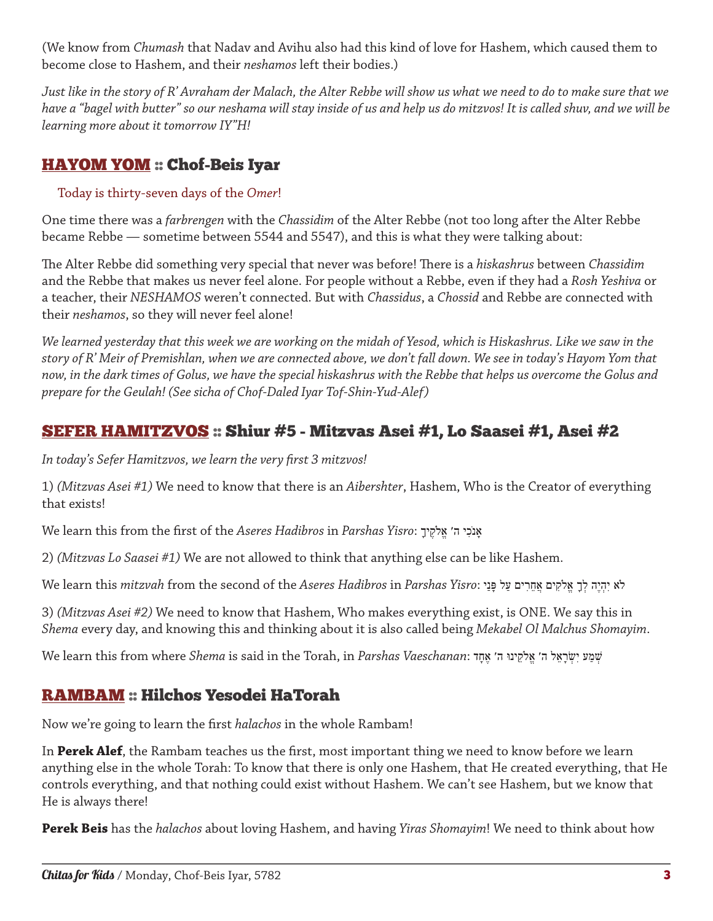(We know from *Chumash* that Nadav and Avihu also had this kind of love for Hashem, which caused them to become close to Hashem, and their *neshamos* left their bodies.)

*Just like in the story of R' Avraham der Malach, the Alter Rebbe will show us what we need to do to make sure that we have a "bagel with butter" so our neshama will stay inside of us and help us do mitzvos! It is called shuv, and we will be learning more about it tomorrow IY"H!*

# [HAYOM YOM](http://chabad.org/dailystudy) :: Chof-Beis Iyar

#### Today is thirty-seven days of the *Omer*!

One time there was a *farbrengen* with the *Chassidim* of the Alter Rebbe (not too long after the Alter Rebbe became Rebbe — sometime between 5544 and 5547), and this is what they were talking about:

The Alter Rebbe did something very special that never was before! There is a *hiskashrus* between *Chassidim* and the Rebbe that makes us never feel alone. For people without a Rebbe, even if they had a *Rosh Yeshiva* or a teacher, their *NESHAMOS* weren't connected. But with *Chassidus*, a *Chossid* and Rebbe are connected with their *neshamos*, so they will never feel alone!

*We learned yesterday that this week we are working on the midah of Yesod, which is Hiskashrus. Like we saw in the story of R' Meir of Premishlan, when we are connected above, we don't fall down. We see in today's Hayom Yom that now, in the dark times of Golus, we have the special hiskashrus with the Rebbe that helps us overcome the Golus and prepare for the Geulah! (See sicha of Chof-Daled Iyar Tof-Shin-Yud-Alef)*

# [SEFER HAMITZVOS](http://chabad.org/dailystudy) :: Shiur #5 - Mitzvas Asei #1, Lo Saasei #1, Asei #2

*In today's Sefer Hamitzvos, we learn the very first 3 mitzvos!*

1) *(Mitzvas Asei #1)* We need to know that there is an *Aibershter*, Hashem, Who is the Creator of everything that exists!

We learn this from the first of the *Aseres Hadibros* in *Parshas Yisro*: ָיךֶקֹלֱא ה׳ יִכֹנָא

2) *(Mitzvas Lo Saasei #1)* We are not allowed to think that anything else can be like Hashem.

לֹא יִהְיֶה לְךָ אֱלֹקִים אֲחֵרִים עַל ּפָנַי :*Yisro Parshas* in *Hadibros Aseres* the of second the from *mitzvah* this learn We

3) *(Mitzvas Asei #2)* We need to know that Hashem, Who makes everything exist, is ONE. We say this in *Shema* every day, and knowing this and thinking about it is also called being *Mekabel Ol Malchus Shomayim*.

ׁשְמַע יִׂשְרָאֵל ה׳ אֱלֹקֵינּו ה׳ אֶחָד :*Vaeschanan Parshas* in ,Torah the in said is *Shema* where from this learn We

# [RAMBAM](http://chabad.org/dailystudy) :: Hilchos Yesodei HaTorah

Now we're going to learn the first *halachos* in the whole Rambam!

In **Perek Alef**, the Rambam teaches us the first, most important thing we need to know before we learn anything else in the whole Torah: To know that there is only one Hashem, that He created everything, that He controls everything, and that nothing could exist without Hashem. We can't see Hashem, but we know that He is always there!

**Perek Beis** has the *halachos* about loving Hashem, and having *Yiras Shomayim*! We need to think about how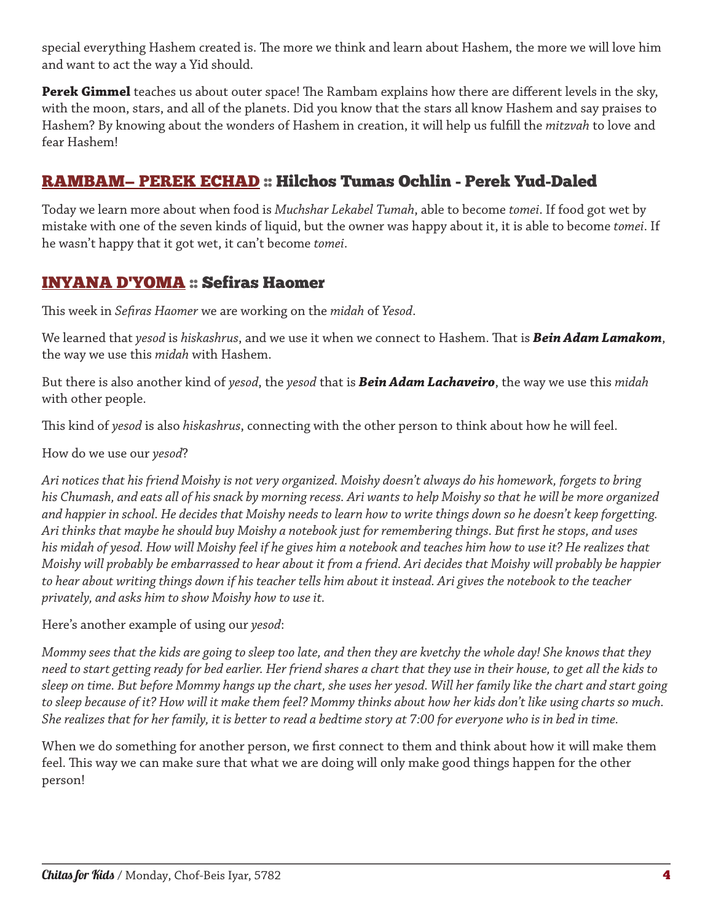special everything Hashem created is. The more we think and learn about Hashem, the more we will love him and want to act the way a Yid should.

**Perek Gimmel** teaches us about outer space! The Rambam explains how there are different levels in the sky, with the moon, stars, and all of the planets. Did you know that the stars all know Hashem and say praises to Hashem? By knowing about the wonders of Hashem in creation, it will help us fulfill the *mitzvah* to love and fear Hashem!

## RAMBAM— PEREK ECHAD :: Hilchos Tumas Ochlin - Perek Yud-Daled

Today we learn more about when food is *Muchshar Lekabel Tumah*, able to become *tomei*. If food got wet by mistake with one of the seven kinds of liquid, but the owner was happy about it, it is able to become *tomei*. If he wasn't happy that it got wet, it can't become *tomei*.

## INYANA D'YOMA :: Sefiras Haomer

This week in *Sefiras Haomer* we are working on the *midah* of *Yesod*.

We learned that *yesod* is *hiskashrus*, and we use it when we connect to Hashem. That is *Bein Adam Lamakom*, the way we use this *midah* with Hashem.

But there is also another kind of *yesod*, the *yesod* that is *Bein Adam Lachaveiro*, the way we use this *midah* with other people.

This kind of *yesod* is also *hiskashrus*, connecting with the other person to think about how he will feel.

How do we use our *yesod*?

*Ari notices that his friend Moishy is not very organized. Moishy doesn't always do his homework, forgets to bring his Chumash, and eats all of his snack by morning recess. Ari wants to help Moishy so that he will be more organized and happier in school. He decides that Moishy needs to learn how to write things down so he doesn't keep forgetting. Ari thinks that maybe he should buy Moishy a notebook just for remembering things. But first he stops, and uses his midah of yesod. How will Moishy feel if he gives him a notebook and teaches him how to use it? He realizes that Moishy will probably be embarrassed to hear about it from a friend. Ari decides that Moishy will probably be happier to hear about writing things down if his teacher tells him about it instead. Ari gives the notebook to the teacher privately, and asks him to show Moishy how to use it.*

Here's another example of using our *yesod*:

*Mommy sees that the kids are going to sleep too late, and then they are kvetchy the whole day! She knows that they need to start getting ready for bed earlier. Her friend shares a chart that they use in their house, to get all the kids to sleep on time. But before Mommy hangs up the chart, she uses her yesod. Will her family like the chart and start going to sleep because of it? How will it make them feel? Mommy thinks about how her kids don't like using charts so much. She realizes that for her family, it is better to read a bedtime story at 7:00 for everyone who is in bed in time.*

When we do something for another person, we first connect to them and think about how it will make them feel. This way we can make sure that what we are doing will only make good things happen for the other person!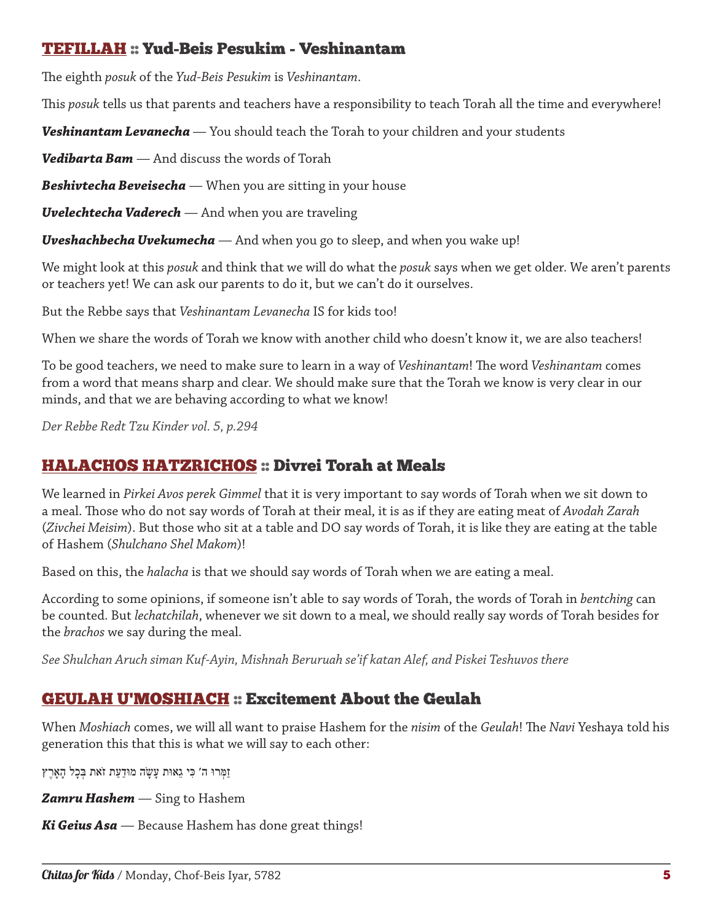### TEFILLAH :: Yud-Beis Pesukim - Veshinantam

The eighth *posuk* of the *Yud*-*Beis Pesukim* is *Veshinantam*.

This *posuk* tells us that parents and teachers have a responsibility to teach Torah all the time and everywhere!

*Veshinantam Levanecha* — You should teach the Torah to your children and your students

*Vedibarta Bam* — And discuss the words of Torah

*Beshivtecha Beveisecha* — When you are sitting in your house

*Uvelechtecha Vaderech* — And when you are traveling

*Uveshachbecha Uvekumecha* — And when you go to sleep, and when you wake up!

We might look at this *posuk* and think that we will do what the *posuk* says when we get older. We aren't parents or teachers yet! We can ask our parents to do it, but we can't do it ourselves.

But the Rebbe says that *Veshinantam Levanecha* IS for kids too!

When we share the words of Torah we know with another child who doesn't know it, we are also teachers!

To be good teachers, we need to make sure to learn in a way of *Veshinantam*! The word *Veshinantam* comes from a word that means sharp and clear. We should make sure that the Torah we know is very clear in our minds, and that we are behaving according to what we know!

*Der Rebbe Redt Tzu Kinder vol. 5, p.294*

## HALACHOS HATZRICHOS :: Divrei Torah at Meals

We learned in *Pirkei Avos perek Gimmel* that it is very important to say words of Torah when we sit down to a meal. Those who do not say words of Torah at their meal, it is as if they are eating meat of *Avodah Zarah* (*Zivchei Meisim*). But those who sit at a table and DO say words of Torah, it is like they are eating at the table of Hashem (*Shulchano Shel Makom*)!

Based on this, the *halacha* is that we should say words of Torah when we are eating a meal.

According to some opinions, if someone isn't able to say words of Torah, the words of Torah in *bentching* can be counted. But *lechatchilah*, whenever we sit down to a meal, we should really say words of Torah besides for the *brachos* we say during the meal.

*See Shulchan Aruch siman Kuf-Ayin, Mishnah Beruruah se'if katan Alef, and Piskei Teshuvos there*

## GEULAH U'MOSHIACH :: Excitement About the Geulah

When *Moshiach* comes, we will all want to praise Hashem for the *nisim* of the *Geulah*! The *Navi* Yeshaya told his generation this that this is what we will say to each other:

זַמְּרּו ה׳ כִּי גֵאּות עָשָׂה מּודַעַת זֹאת בְּכָל הָאָרֶץ

*Zamru Hashem* — Sing to Hashem

*Ki Geius Asa* — Because Hashem has done great things!